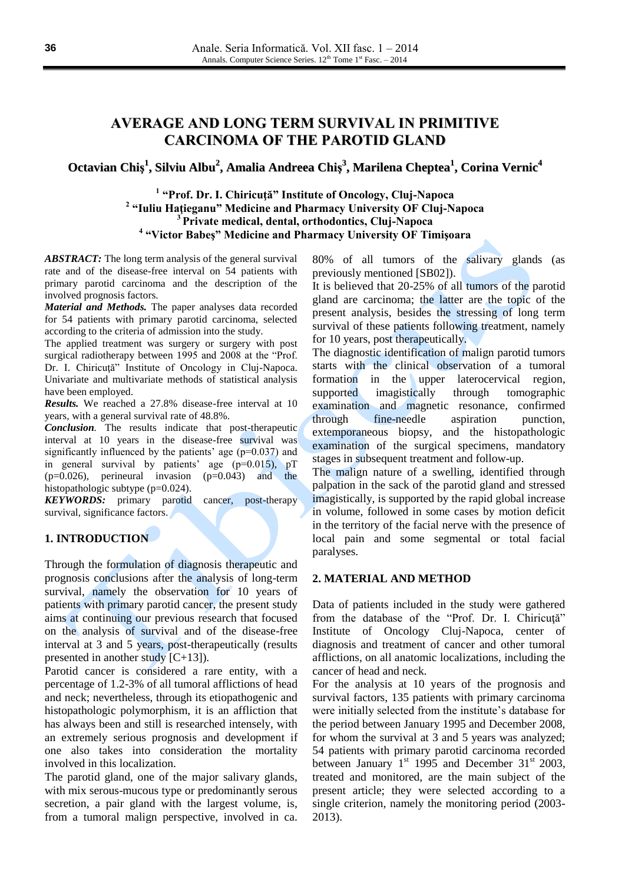# **AVERAGE AND LONG TERM SURVIVAL IN PRIMITIVE CARCINOMA OF THE PAROTID GLAND**

# Octavian Chiș $^1$ , Silviu Albu $^2$ , Amalia Andreea Chiș $^3$ , Marilena Cheptea $^1$ , Corina Vernic $^4$

 **"Prof. Dr. I. Chiricuţă" Institute of Oncology, Cluj-Napoca "Iuliu Haţieganu" Medicine and Pharmacy University OF Cluj-Napoca Private medical, dental, orthodontics, Cluj-Napoca "Victor Babeş" Medicine and Pharmacy University OF Timişoara**

*ABSTRACT:* The long term analysis of the general survival rate and of the disease-free interval on 54 patients with primary parotid carcinoma and the description of the involved prognosis factors.

*Material and Methods.* The paper analyses data recorded for 54 patients with primary parotid carcinoma, selected according to the criteria of admission into the study.

The applied treatment was surgery or surgery with post surgical radiotherapy between 1995 and 2008 at the "Prof. Dr. I. Chiricuţă" Institute of Oncology in Cluj-Napoca. Univariate and multivariate methods of statistical analysis have been employed.

*Results.* We reached a 27.8% disease-free interval at 10 years, with a general survival rate of 48.8%.

*Conclusion.* The results indicate that post-therapeutic interval at 10 years in the disease-free survival was significantly influenced by the patients' age (p=0.037) and in general survival by patients' age (p=0.015), pT (p=0.026), perineural invasion (p=0.043) and the histopathologic subtype (p=0.024).

*KEYWORDS:* primary parotid cancer, post-therapy survival, significance factors.

## **1. INTRODUCTION**

Through the formulation of diagnosis therapeutic and prognosis conclusions after the analysis of long-term survival, namely the observation for 10 years of patients with primary parotid cancer, the present study aims at continuing our previous research that focused on the analysis of survival and of the disease-free interval at 3 and 5 years, post-therapeutically (results presented in another study [C+13]).

Parotid cancer is considered a rare entity, with a percentage of 1.2-3% of all tumoral afflictions of head and neck; nevertheless, through its etiopathogenic and histopathologic polymorphism, it is an affliction that has always been and still is researched intensely, with an extremely serious prognosis and development if one also takes into consideration the mortality involved in this localization.

The parotid gland, one of the major salivary glands, with mix serous-mucous type or predominantly serous secretion, a pair gland with the largest volume, is, from a tumoral malign perspective, involved in ca. 80% of all tumors of the salivary glands (as previously mentioned [SB02]).

It is believed that 20-25% of all tumors of the parotid gland are carcinoma; the latter are the topic of the present analysis, besides the stressing of long term survival of these patients following treatment, namely for 10 years, post therapeutically.

The diagnostic identification of malign parotid tumors starts with the clinical observation of a tumoral formation in the upper laterocervical region, supported imagistically through tomographic examination and magnetic resonance, confirmed through fine-needle aspiration punction, extemporaneous biopsy, and the histopathologic examination of the surgical specimens, mandatory stages in subsequent treatment and follow-up.

The malign nature of a swelling, identified through palpation in the sack of the parotid gland and stressed imagistically, is supported by the rapid global increase in volume, followed in some cases by motion deficit in the territory of the facial nerve with the presence of local pain and some segmental or total facial paralyses.

#### **2. MATERIAL AND METHOD**

Data of patients included in the study were gathered from the database of the "Prof. Dr. I. Chiricuţă" Institute of Oncology Cluj-Napoca, center of diagnosis and treatment of cancer and other tumoral afflictions, on all anatomic localizations, including the cancer of head and neck.

For the analysis at 10 years of the prognosis and survival factors, 135 patients with primary carcinoma were initially selected from the institute's database for the period between January 1995 and December 2008, for whom the survival at 3 and 5 years was analyzed; 54 patients with primary parotid carcinoma recorded between January  $1<sup>st</sup>$  1995 and December 31<sup>st</sup> 2003, treated and monitored, are the main subject of the present article; they were selected according to a single criterion, namely the monitoring period (2003- 2013).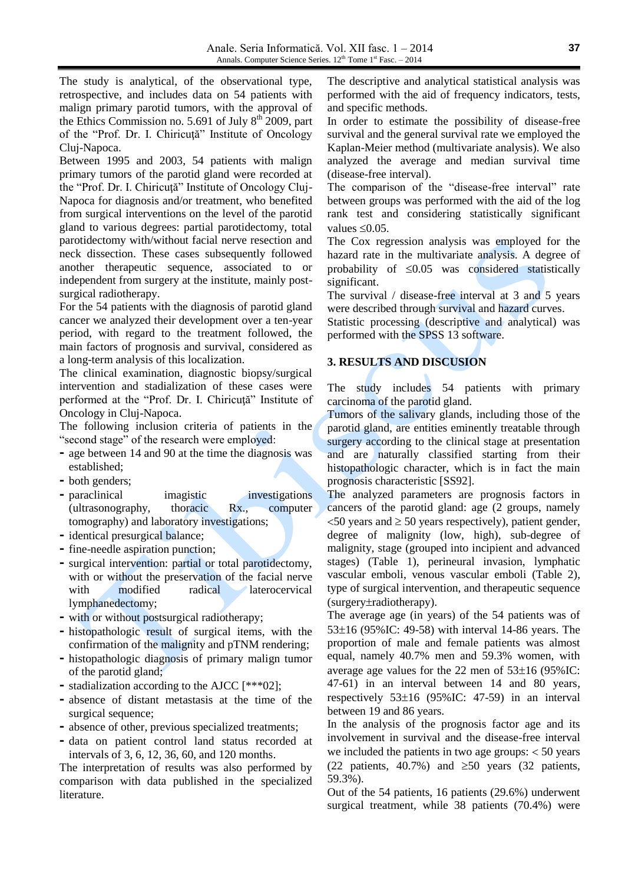The study is analytical, of the observational type, retrospective, and includes data on 54 patients with malign primary parotid tumors, with the approval of the Ethics Commission no. 5.691 of July  $8<sup>th</sup>$  2009, part of the "Prof. Dr. I. Chiricuţă" Institute of Oncology Cluj-Napoca.

Between 1995 and 2003, 54 patients with malign primary tumors of the parotid gland were recorded at the "Prof. Dr. I. Chiricuţă" Institute of Oncology Cluj-Napoca for diagnosis and/or treatment, who benefited from surgical interventions on the level of the parotid gland to various degrees: partial parotidectomy, total parotidectomy with/without facial nerve resection and neck dissection. These cases subsequently followed another therapeutic sequence, associated to or independent from surgery at the institute, mainly postsurgical radiotherapy.

For the 54 patients with the diagnosis of parotid gland cancer we analyzed their development over a ten-year period, with regard to the treatment followed, the main factors of prognosis and survival, considered as a long-term analysis of this localization.

The clinical examination, diagnostic biopsy/surgical intervention and stadialization of these cases were performed at the "Prof. Dr. I. Chiricuţă" Institute of Oncology in Cluj-Napoca.

The following inclusion criteria of patients in the "second stage" of the research were employed:

- **-** age between 14 and 90 at the time the diagnosis was established;
- **-** both genders;
- **-** paraclinical imagistic investigations (ultrasonography, thoracic Rx., computer tomography) and laboratory investigations;
- **-** identical presurgical balance;
- **-** fine-needle aspiration punction;
- **-** surgical intervention: partial or total parotidectomy, with or without the preservation of the facial nerve with modified radical laterocervical lymphanedectomy;
- **-** with or without postsurgical radiotherapy;
- **-** histopathologic result of surgical items, with the confirmation of the malignity and pTNM rendering;
- **-** histopathologic diagnosis of primary malign tumor of the parotid gland;
- **-** stadialization according to the AJCC [\*\*\*02];
- **-** absence of distant metastasis at the time of the surgical sequence;
- **-** absence of other, previous specialized treatments;
- **-** data on patient control land status recorded at intervals of 3, 6, 12, 36, 60, and 120 months.

The interpretation of results was also performed by comparison with data published in the specialized literature.

The descriptive and analytical statistical analysis was performed with the aid of frequency indicators, tests, and specific methods.

In order to estimate the possibility of disease-free survival and the general survival rate we employed the Kaplan-Meier method (multivariate analysis). We also analyzed the average and median survival time (disease-free interval).

The comparison of the "disease-free interval" rate between groups was performed with the aid of the log rank test and considering statistically significant values  $\leq 0.05$ .

The Cox regression analysis was employed for the hazard rate in the multivariate analysis. A degree of probability of  $\leq 0.05$  was considered statistically significant.

The survival / disease-free interval at 3 and 5 years were described through survival and hazard curves.

Statistic processing (descriptive and analytical) was performed with the SPSS 13 software.

## **3. RESULTS AND DISCUSION**

The study includes 54 patients with primary carcinoma of the parotid gland.

Tumors of the salivary glands, including those of the parotid gland, are entities eminently treatable through surgery according to the clinical stage at presentation and are naturally classified starting from their histopathologic character, which is in fact the main prognosis characteristic [SS92].

The analyzed parameters are prognosis factors in cancers of the parotid gland: age (2 groups, namely  $<$  50 years and  $\geq$  50 years respectively), patient gender, degree of malignity (low, high), sub-degree of malignity, stage (grouped into incipient and advanced stages) (Table 1), perineural invasion, lymphatic vascular emboli, venous vascular emboli (Table 2), type of surgical intervention, and therapeutic sequence  $(surgery\pm radiotherapy)$ .

The average age (in years) of the 54 patients was of 53 $\pm$ 16 (95%IC: 49-58) with interval 14-86 years. The proportion of male and female patients was almost equal, namely 40.7% men and 59.3% women, with average age values for the 22 men of  $53\pm16$  (95%IC: 47-61) in an interval between 14 and 80 years, respectively  $53\pm 16$  (95%IC: 47-59) in an interval between 19 and 86 years.

In the analysis of the prognosis factor age and its involvement in survival and the disease-free interval we included the patients in two age groups:  $<$  50 years (22 patients, 40.7%) and  $\geq 50$  years (32 patients, 59.3%).

Out of the 54 patients, 16 patients (29.6%) underwent surgical treatment, while 38 patients (70.4%) were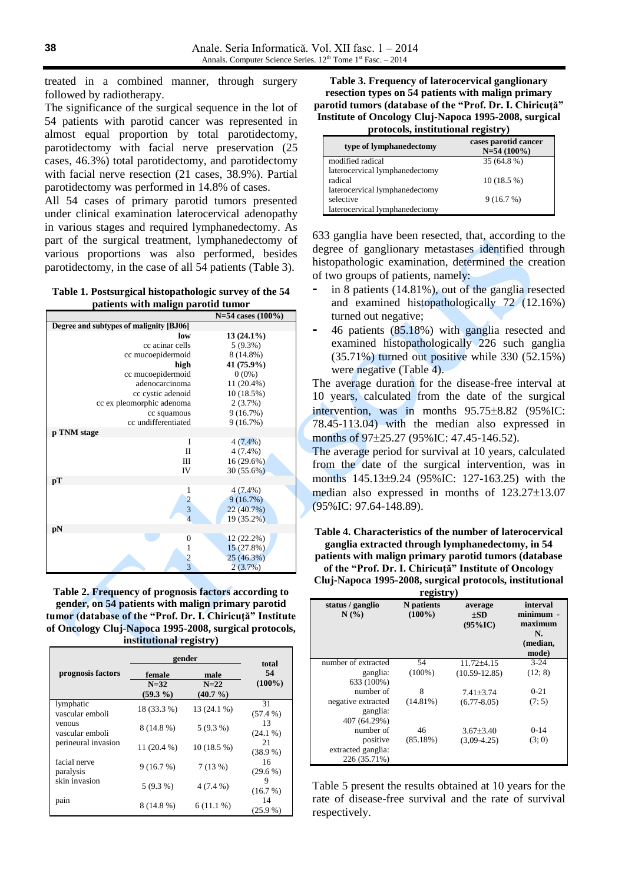selective

laterocervical lymphanedectomy

treated in a combined manner, through surgery followed by radiotherapy.

The significance of the surgical sequence in the lot of 54 patients with parotid cancer was represented in almost equal proportion by total parotidectomy, parotidectomy with facial nerve preservation (25 cases, 46.3%) total parotidectomy, and parotidectomy with facial nerve resection (21 cases, 38.9%). Partial parotidectomy was performed in 14.8% of cases.

All 54 cases of primary parotid tumors presented under clinical examination laterocervical adenopathy in various stages and required lymphanedectomy. As part of the surgical treatment, lymphanedectomy of various proportions was also performed, besides parotidectomy, in the case of all 54 patients (Table 3).

**Table 1. Postsurgical histopathologic survey of the 54 patients with malign parotid tumor** 

|                                         | $N=54$ cases $(100\%)$ |  |  |  |
|-----------------------------------------|------------------------|--|--|--|
| Degree and subtypes of malignity [BJ06] |                        |  |  |  |
| low                                     | $13(24.1\%)$           |  |  |  |
| cc acinar cells                         | $5(9.3\%)$             |  |  |  |
| cc mucoepidermoid                       | 8 (14.8%)              |  |  |  |
| high                                    | 41 (75.9%)             |  |  |  |
| cc mucoepidermoid                       | $0(0\%)$               |  |  |  |
| adenocarcinoma                          | $11(20.4\%)$           |  |  |  |
| cc cystic adenoid                       | 10(18.5%)              |  |  |  |
| cc ex pleomorphic adenoma               | 2(3.7%)                |  |  |  |
| cc squamous                             | 9(16.7%)               |  |  |  |
| cc undifferentiated                     | 9(16.7%)               |  |  |  |
| p TNM stage                             |                        |  |  |  |
| I                                       | $4(7.4\%)$             |  |  |  |
| $\mathbf{I}$                            | $4(7.4\%)$             |  |  |  |
| Ш                                       | $16(29.6\%)$           |  |  |  |
| IV                                      | $30(55.6\%)$           |  |  |  |
| pT                                      |                        |  |  |  |
| 1                                       | $4(7.4\%)$             |  |  |  |
|                                         | 9(16.7%)               |  |  |  |
| $\frac{2}{3}$                           | 22 (40.7%)             |  |  |  |
| $\overline{4}$                          | 19 (35.2%)             |  |  |  |
| pN                                      |                        |  |  |  |
| $\theta$                                | $12(22.2\%)$           |  |  |  |
| $\mathbf{1}$                            | 15(27.8%)              |  |  |  |
| $\frac{2}{3}$                           | 25 (46.3%)             |  |  |  |
|                                         | $2(3.7\%)$             |  |  |  |

**Table 2. Frequency of prognosis factors according to gender, on 54 patients with malign primary parotid tumor (database of the "Prof. Dr. I. Chiricuţă" Institute of Oncology Cluj-Napoca 1995-2008, surgical protocols, institutional registry)**

|                              | gender                          |                               | total            |  |
|------------------------------|---------------------------------|-------------------------------|------------------|--|
| prognosis factors            | female<br>$N=32$<br>$(59.3\% )$ | male<br>$N=22$<br>$(40.7\% )$ | 54<br>$(100\%)$  |  |
| lymphatic<br>vascular emboli | 18 (33.3 %)                     | 13 (24.1 %)                   | 31<br>(57.4%     |  |
| venous<br>vascular emboli    | 8 (14.8 %)                      | $5(9.3\%)$                    | 13<br>$(24.1\%)$ |  |
| perineural invasion          | $11(20.4\%)$                    | $10(18.5\%)$                  | 21<br>(38.9%     |  |
| facial nerve<br>paralysis    | 9(16.7%)                        | 7(13%)                        | 16<br>$(29.6\%)$ |  |
| skin invasion                | $5(9.3\%)$                      | $4(7.4\%)$                    | 9<br>(16.7%)     |  |
| pain                         | 8 (14.8 %)                      | $6(11.1\%)$                   | 14<br>$(25.9\%)$ |  |

**Table 3. Frequency of laterocervical ganglionary resection types on 54 patients with malign primary parotid tumors (database of the "Prof. Dr. I. Chiricuţă" Institute of Oncology Cluj-Napoca 1995-2008, surgical protocols, institutional registry)**

|                                | -                                     |
|--------------------------------|---------------------------------------|
| type of lymphanedectomy        | cases parotid cancer<br>$N=54(100\%)$ |
| modified radical               | 35 (64.8 %)                           |
| laterocervical lymphanedectomy |                                       |
| radical                        | $10(18.5\%)$                          |
| laterocervical lymphanedectomy |                                       |

9 (16.7 %)

633 ganglia have been resected, that, according to the degree of ganglionary metastases identified through histopathologic examination, determined the creation of two groups of patients, namely:

- **-** in 8 patients (14.81%), out of the ganglia resected and examined histopathologically 72 (12.16%) turned out negative;
- **-** 46 patients (85.18%) with ganglia resected and examined histopathologically 226 such ganglia (35.71%) turned out positive while 330 (52.15%) were negative (Table 4).

The average duration for the disease-free interval at 10 years, calculated from the date of the surgical intervention, was in months  $95.75\pm8.82$  (95%IC: 78.45-113.04) with the median also expressed in months of 97±25.27 (95% IC: 47.45-146.52).

The average period for survival at 10 years, calculated from the date of the surgical intervention, was in months 145.13±9.24 (95%IC: 127-163.25) with the median also expressed in months of  $123.27 \pm 13.07$ (95%IC: 97.64-148.89).

**Table 4. Characteristics of the number of laterocervical ganglia extracted through lymphanedectomy, in 54** 

**patients with malign primary parotid tumors (database of the "Prof. Dr. I. Chiricuţă" Institute of Oncology** 

**Cluj-Napoca 1995-2008, surgical protocols, institutional registry)**

| status / ganglio<br>N(%) | N patients<br>$(100\%)$ | average<br>±SD<br>$(95\%$ IC) | interval<br>minimum -<br>maximum<br>N.<br>(median,<br>mode) |
|--------------------------|-------------------------|-------------------------------|-------------------------------------------------------------|
| number of extracted      | 54                      | $11.72 + 4.15$                | $3 - 24$                                                    |
| ganglia:                 | $(100\%)$               | $(10.59 - 12.85)$             | (12; 8)                                                     |
| 633 (100%)               |                         |                               |                                                             |
| number of                | 8                       | $7.41 + 3.74$                 | $0 - 21$                                                    |
| negative extracted       | $(14.81\%)$             | $(6.77 - 8.05)$               | (7; 5)                                                      |
| ganglia:                 |                         |                               |                                                             |
| 407 (64.29%)             |                         |                               |                                                             |
| number of                | 46                      | $3.67 + 3.40$                 | $0 - 14$                                                    |
| positive                 | (85.18%)                | $(3.09 - 4.25)$               | (3; 0)                                                      |
| extracted ganglia:       |                         |                               |                                                             |
| 226 (35.71%)             |                         |                               |                                                             |

Table 5 present the results obtained at 10 years for the rate of disease-free survival and the rate of survival respectively.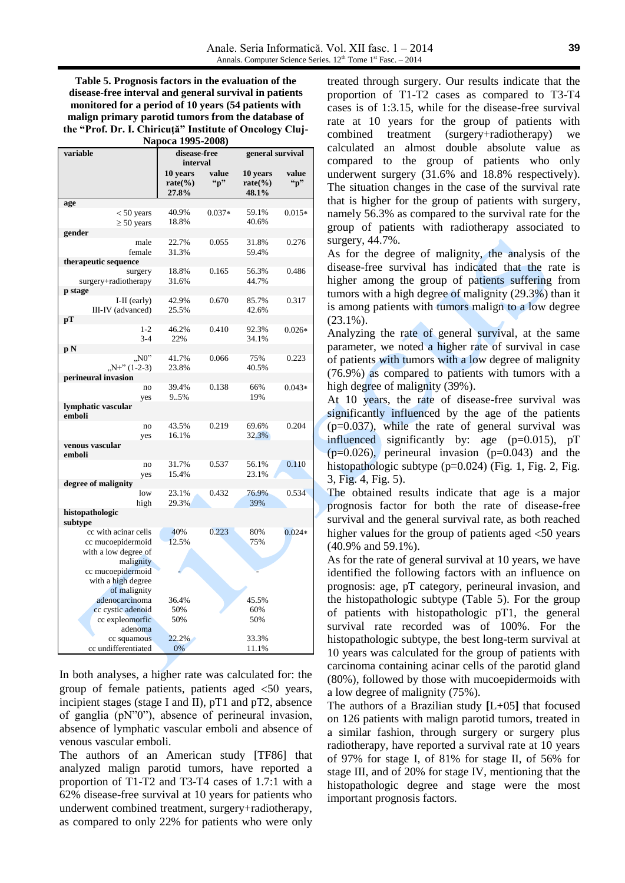**Table 5. Prognosis factors in the evaluation of the disease-free interval and general survival in patients monitored for a period of 10 years (54 patients with malign primary parotid tumors from the database of the "Prof. Dr. I. Chiricuţă" Institute of Oncology Cluj-Napoca 1995-2008)**

| variable                     | disease-free<br>interval                             |                           | general survival                |                       |
|------------------------------|------------------------------------------------------|---------------------------|---------------------------------|-----------------------|
|                              | 10 years<br>rate $\left(\frac{0}{0}\right)$<br>27.8% | value<br>$\mathbf{``p''}$ | 10 years<br>$rate(\%)$<br>48.1% | value<br>$\mathbf{p}$ |
| age                          |                                                      |                           |                                 |                       |
| $< 50$ years                 | 40.9%                                                | $0.037*$                  | 59.1%                           | $0.015*$              |
| $\geq 50$ years              | 18.8%                                                |                           | 40.6%                           |                       |
| gender                       |                                                      |                           |                                 |                       |
| male                         | 22.7%                                                | 0.055                     | 31.8%                           | 0.276                 |
| female                       | 31.3%                                                |                           | 59.4%                           |                       |
| therapeutic sequence         |                                                      |                           |                                 |                       |
| surgery                      | 18.8%                                                | 0.165                     | 56.3%                           | 0.486                 |
| surgery+radiotherapy         | 31.6%                                                |                           | 44.7%                           |                       |
| p stage                      |                                                      |                           |                                 |                       |
| $I-II$ (early)               | 42.9%                                                | 0.670                     | 85.7%                           | 0.317                 |
| III-IV (advanced)            | 25.5%                                                |                           | 42.6%                           |                       |
| pТ<br>$1-2$                  |                                                      | 0.410                     |                                 |                       |
| $3 - 4$                      | 46.2%<br>22%                                         |                           | 92.3%<br>34.1%                  | $0.026*$              |
|                              |                                                      |                           |                                 |                       |
| рN<br>N0"                    | 41.7%                                                | 0.066                     | 75%                             | 0.223                 |
| $N+$ " (1-2-3)               | 23.8%                                                |                           | 40.5%                           |                       |
| perineural invasion          |                                                      |                           |                                 |                       |
| no                           | 39.4%                                                | 0.138                     | 66%                             | $0.043*$              |
| yes                          | 9.5%                                                 |                           | 19%                             |                       |
| lymphatic vascular<br>emboli |                                                      |                           |                                 |                       |
| no                           | 43.5%                                                | 0.219                     | 69.6%                           | 0.204                 |
| yes                          | 16.1%                                                |                           | 32.3%                           |                       |
| venous vascular<br>emboli    |                                                      |                           |                                 |                       |
| no                           | 31.7%                                                | 0.537                     | 56.1%                           | 0.110                 |
| yes                          | 15.4%                                                |                           | 23.1%                           |                       |
| degree of malignity          |                                                      |                           |                                 |                       |
| low                          | 23.1%                                                | 0.432                     | 76.9%                           | 0.534                 |
| high                         | 29.3%                                                |                           | 39%                             |                       |
| histopathologic<br>subtype   |                                                      |                           |                                 |                       |
| cc with acinar cells         | 40%                                                  | 0.223                     | 80%                             | $0.024*$              |
| cc mucoepidermoid            | 12.5%                                                |                           | 75%                             |                       |
| with a low degree of         |                                                      |                           |                                 |                       |
| malignity                    |                                                      |                           |                                 |                       |
| cc mucoepidermoid            |                                                      |                           |                                 |                       |
| with a high degree           |                                                      |                           |                                 |                       |
| of malignity                 |                                                      |                           |                                 |                       |
| adenocarcinoma               | 36.4%                                                |                           | 45.5%                           |                       |
| cc cystic adenoid            | 50%                                                  |                           | 60%                             |                       |
| cc expleomorfic              | 50%                                                  |                           | 50%                             |                       |
| adenoma                      |                                                      |                           |                                 |                       |
| cc squamous                  | 22.2%                                                |                           | 33.3%                           |                       |
| cc undifferentiated          | 0%                                                   |                           | 11.1%                           |                       |

In both analyses, a higher rate was calculated for: the group of female patients, patients aged  $\leq 50$  years, incipient stages (stage I and II), pT1 and pT2, absence of ganglia (pN"0"), absence of perineural invasion, absence of lymphatic vascular emboli and absence of venous vascular emboli.

The authors of an American study [TF86] that analyzed malign parotid tumors, have reported a proportion of T1-T2 and T3-T4 cases of 1.7:1 with a 62% disease-free survival at 10 years for patients who underwent combined treatment, surgery+radiotherapy, as compared to only 22% for patients who were only

treated through surgery. Our results indicate that the proportion of T1-T2 cases as compared to T3-T4 cases is of 1:3.15, while for the disease-free survival rate at 10 years for the group of patients with combined treatment (surgery+radiotherapy) we calculated an almost double absolute value as compared to the group of patients who only underwent surgery (31.6% and 18.8% respectively). The situation changes in the case of the survival rate that is higher for the group of patients with surgery, namely 56.3% as compared to the survival rate for the group of patients with radiotherapy associated to surgery, 44.7%.

As for the degree of malignity, the analysis of the disease-free survival has indicated that the rate is higher among the group of patients suffering from tumors with a high degree of malignity (29.3%) than it is among patients with tumors malign to a low degree (23.1%).

Analyzing the rate of general survival, at the same parameter, we noted a higher rate of survival in case of patients with tumors with a low degree of malignity (76.9%) as compared to patients with tumors with a high degree of malignity (39%).

At 10 years, the rate of disease-free survival was significantly influenced by the age of the patients  $(p=0.037)$ , while the rate of general survival was influenced significantly by: age (p=0.015), pT  $(p=0.026)$ , perineural invasion  $(p=0.043)$  and the histopathologic subtype (p=0.024) (Fig. 1, Fig. 2, Fig. 3, Fig. 4, Fig. 5).

The obtained results indicate that age is a major prognosis factor for both the rate of disease-free survival and the general survival rate, as both reached higher values for the group of patients aged  $<$ 50 years (40.9% and 59.1%).

As for the rate of general survival at 10 years, we have identified the following factors with an influence on prognosis: age, pT category, perineural invasion, and the histopathologic subtype (Table 5). For the group of patients with histopathologic pT1, the general survival rate recorded was of 100%. For the histopathologic subtype, the best long-term survival at 10 years was calculated for the group of patients with carcinoma containing acinar cells of the parotid gland (80%), followed by those with mucoepidermoids with a low degree of malignity (75%).

The authors of a Brazilian study **[**L+05**]** that focused on 126 patients with malign parotid tumors, treated in a similar fashion, through surgery or surgery plus radiotherapy, have reported a survival rate at 10 years of 97% for stage I, of 81% for stage II, of 56% for stage III, and of 20% for stage IV, mentioning that the histopathologic degree and stage were the most important prognosis factors.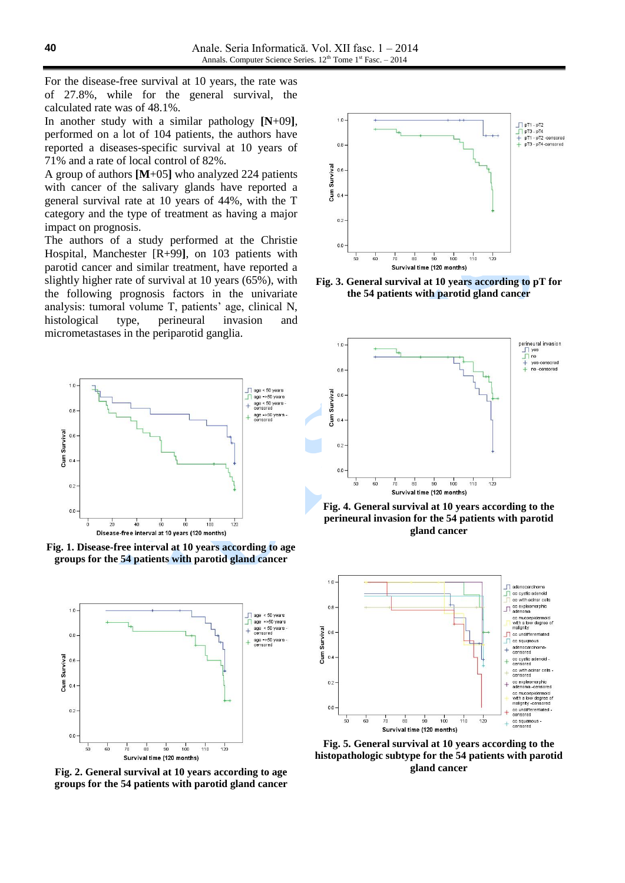For the disease-free survival at 10 years, the rate was of 27.8%, while for the general survival, the calculated rate was of 48.1%.

In another study with a similar pathology **[N**+09**]**, performed on a lot of 104 patients, the authors have reported a diseases-specific survival at 10 years of 71% and a rate of local control of 82%.

A group of authors **[M**+05**]** who analyzed 224 patients with cancer of the salivary glands have reported a general survival rate at 10 years of 44%, with the T category and the type of treatment as having a major impact on prognosis.

The authors of a study performed at the Christie Hospital, Manchester [R+99**]**, on 103 patients with parotid cancer and similar treatment, have reported a slightly higher rate of survival at 10 years (65%), with the following prognosis factors in the univariate analysis: tumoral volume T, patients' age, clinical N, histological type, perineural invasion and micrometastases in the periparotid ganglia.



**Fig. 1. Disease-free interval at 10 years according to age groups for the 54 patients with parotid gland cancer**



**Fig. 2. General survival at 10 years according to age groups for the 54 patients with parotid gland cancer**



**Fig. 3. General survival at 10 years according to pT for the 54 patients with parotid gland cancer**



**Fig. 4. General survival at 10 years according to the perineural invasion for the 54 patients with parotid gland cancer**



**Fig. 5. General survival at 10 years according to the histopathologic subtype for the 54 patients with parotid gland cancer**